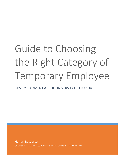# Guide to Choosing the Right Category of Temporary Employee

# OPS EMPLOYMENT AT THE UNIVERSITY OF FLORIDA

Human Resources UNIVERSITY OF FLORIDA | 903 W. UNIVERSITY AVE, GAINESVILLE, FL 32611-5007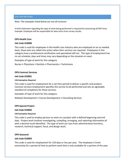# OPS DEFINITIONS

*Note: The examples listed below are not all inclusive.*

A brief statement regarding the type of work being performed is required for processing all OPS hires. Example: Employee will be responsible for data entry from survey results.

# **OPS-Health Care**

#### **Job Code 010000**

This code is used for employees in the health care industry who are employed on an as needed basis, those who are called into action when their services are required. Employees in this category have a professional certification and specialized skill set. This type of employment has no set schedule, days and times may vary depending on the situation or need.

Examples of type of work for this category:

Nurses • Physicians • Dentists • Pharmacists • Technicians

#### **OPS-Contract Services**

#### **Job Code 010001**

#### **CAS Exemption Required**

This code is used for employment for a set time period to deliver a specific end product. Contract services employment specifies the service to be performed and sets an agreeable standard of completion for these services.

Examples of type of work for this category:

Website Development • Course Development • Consulting Services

### **OPS-Special Project**

#### **Job Code 010002**

#### **CAS Exemption Required**

This code is used to employ persons to work on a project with a defined beginning and end date. Project work involves investigating, compiling, arranging, and reporting information all with a desired result identified. The type of work can vary from administrative functions, research, technical support, fiscal, and design work.

#### **OPS-Seasonal**

#### **Job Code 010003**

This code is used for employment for 120 days or less per year. The employee is hired exclusively for a period of time to perform work that is only available for a portion of the year.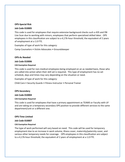# **OPS-Special Risk**

# **Job Code 010005**

This code is used for employees that require extensive background checks such a 435 and FBI Live Scan due to working with minors, employees that perform specialized skilled labor. OPS employees in this classification are subject to a 4,176-hour threshold, the equivalent of 2 years of employment at a 1.0 FTE.

Examples of type of work for this category:

Camp Counselors • Victim Advocates • Groundskeeper

# **OPS-As Needed**

# **Job Code 010006**

# **CAS Exemption Required**

This code is used for non-medical employees being employed on an as needed basis, those who are called into action when their skill set is required. This type of employment has no set schedule, days and times may vary depending on the situation or need.

Examples of type of work for this category:

Child Care • Security Guards • Fitness Instructor • Personal Trainer

# **OPS-Secondary**

# **Job Code 010004**

# **CAS Exemption Required**

This code is used for employees that have a primary appointment as TEAMS or Faculty with UF and are taking on a temporary secondary OPS position to provide different services to the same department/unit or a different one.

# **OPS-Time Limited**

# **Job Code 010007**

# **CAS Exemption Required**

The type of work performed will vary based on need. This code will be used for temporary employment due to an increase in work volume, illness cover, maternity/paternity cover, and various other temporary needs for coverage. OPS employees in this classification are subject to a 4,176-hour threshold, the equivalent of 2 years of employment at a 1.0 FTE.